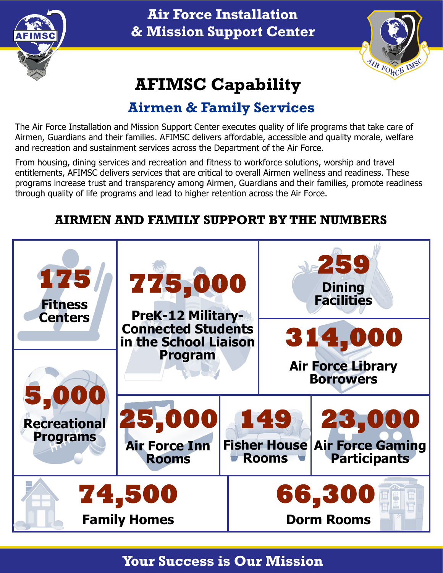

# **Air Force Installation & Mission Support Center**



# **AFIMSC Capability**

# **Airmen & Family Services**

The Air Force Installation and Mission Support Center executes quality of life programs that take care of Airmen, Guardians and their families. AFIMSC delivers affordable, accessible and quality morale, welfare and recreation and sustainment services across the Department of the Air Force.

From housing, dining services and recreation and fitness to workforce solutions, worship and travel entitlements, AFIMSC delivers services that are critical to overall Airmen wellness and readiness. These programs increase trust and transparency among Airmen, Guardians and their families, promote readiness through quality of life programs and lead to higher retention across the Air Force.

# **AIRMEN AND FAMILY SUPPORT BY THE NUMBERS**



## **Your Success is Our Mission**